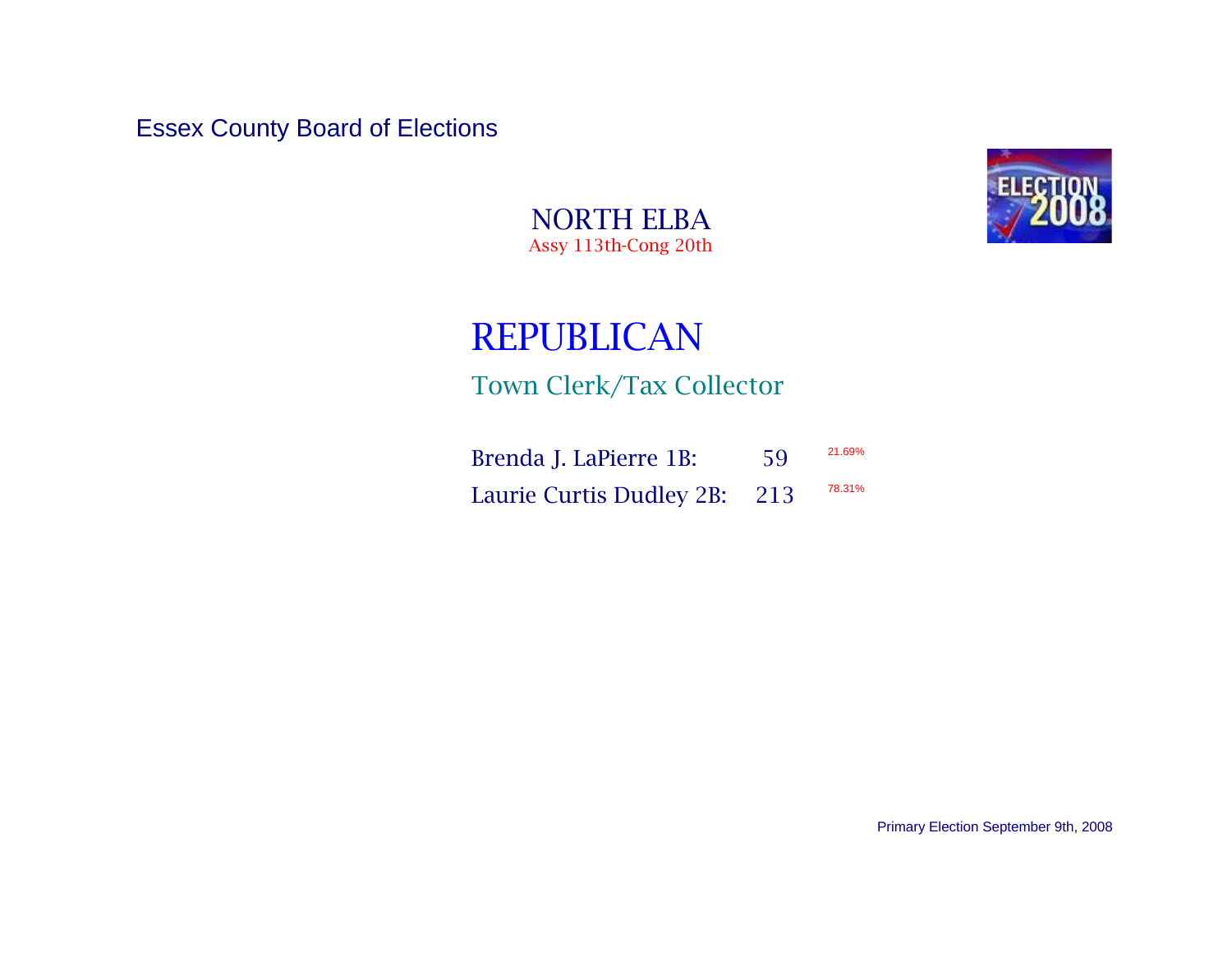Essex County Board of Elections



NORTH ELBA Assy 113th-Cong 20th

## REPUBLICAN

Town Clerk/Tax Collector

| Brenda J. LaPierre 1B:       | 59 | 21.69% |
|------------------------------|----|--------|
| Laurie Curtis Dudley 2B: 213 |    | 78.31% |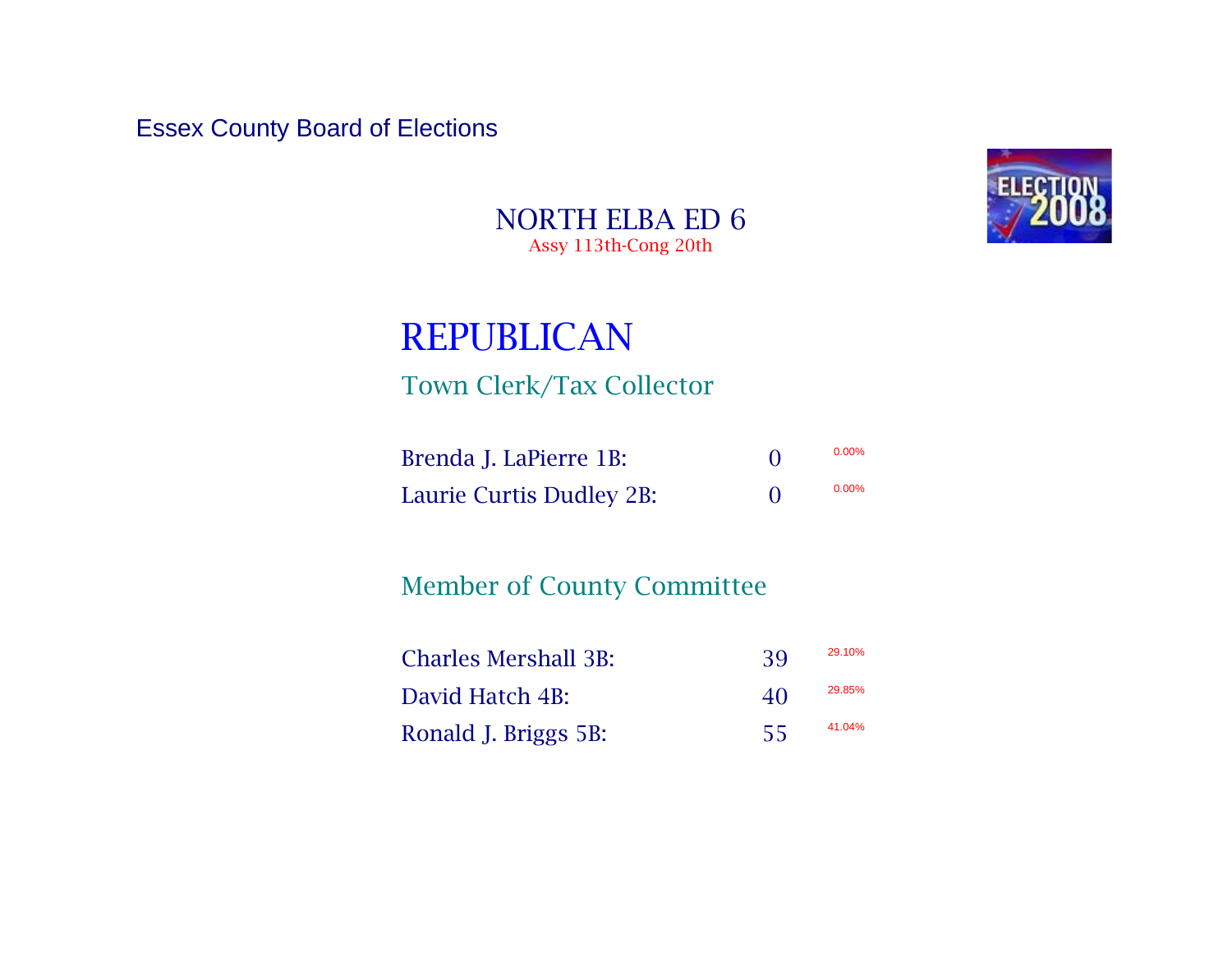Essex County Board of Elections



NORTH ELBA ED 6 Assy 113th-Cong 20th

## REPUBLICAN

## Town Clerk/Tax Collector

| Brenda J. LaPierre 1B:   | $0.00\%$ |
|--------------------------|----------|
| Laurie Curtis Dudley 2B: | $0.00\%$ |

## Member of County Committee

| <b>Charles Mershall 3B:</b> | 39  | 29.10% |
|-----------------------------|-----|--------|
| David Hatch 4B:             | 40  | 29.85% |
| Ronald J. Briggs 5B:        | -55 | 41.04% |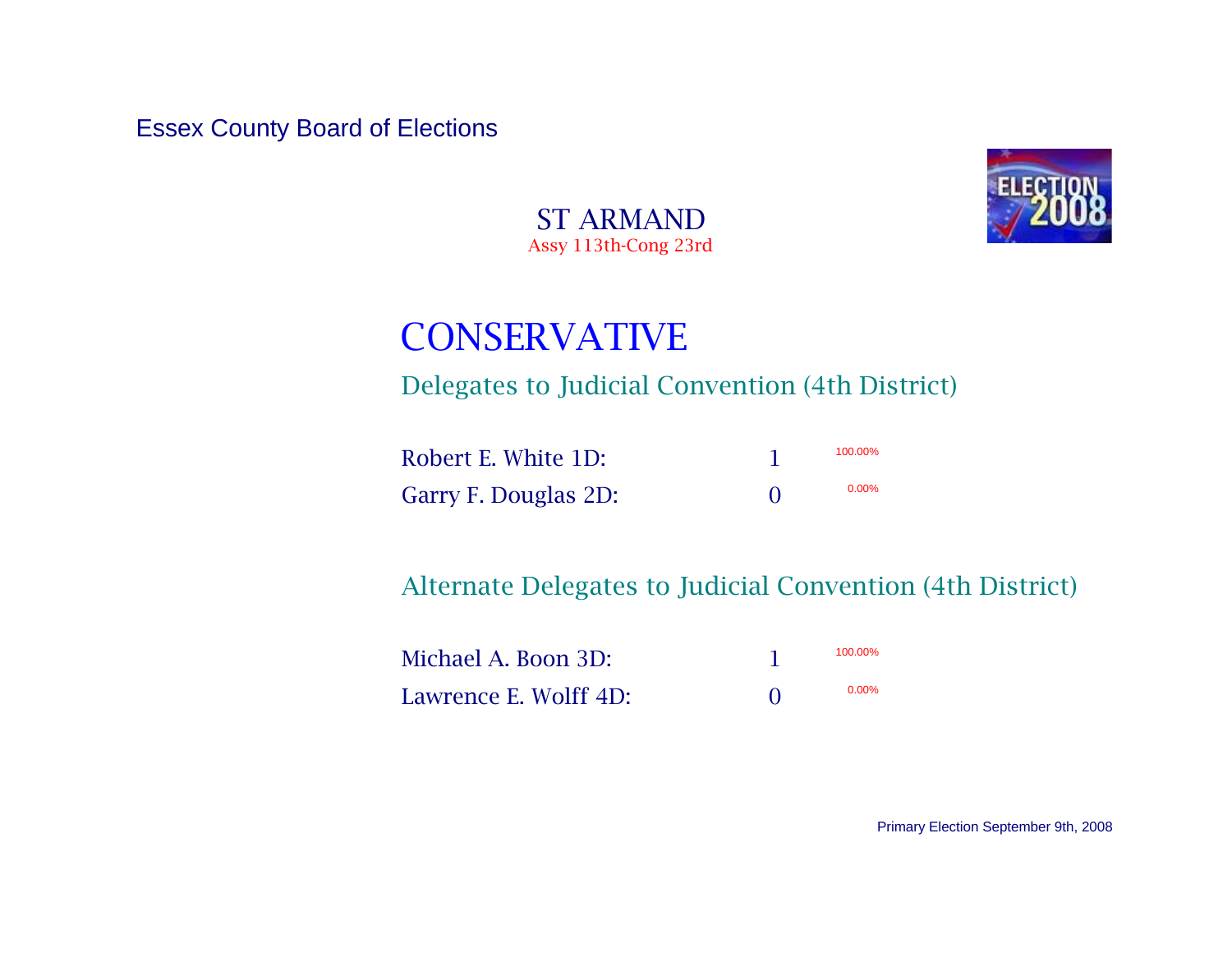Essex County Board of Elections



ST ARMAND Assy 113th-Cong 23rd

# CONSERVATIVE

Delegates to Judicial Convention (4th District)

| Robert E. White 1D:  | 100.00%  |
|----------------------|----------|
| Garry F. Douglas 2D: | $0.00\%$ |

Alternate Delegates to Judicial Convention (4th District)

| Michael A. Boon 3D:   | 100.00%  |
|-----------------------|----------|
| Lawrence E. Wolff 4D: | $0.00\%$ |

Primary Election September 9th, 2008